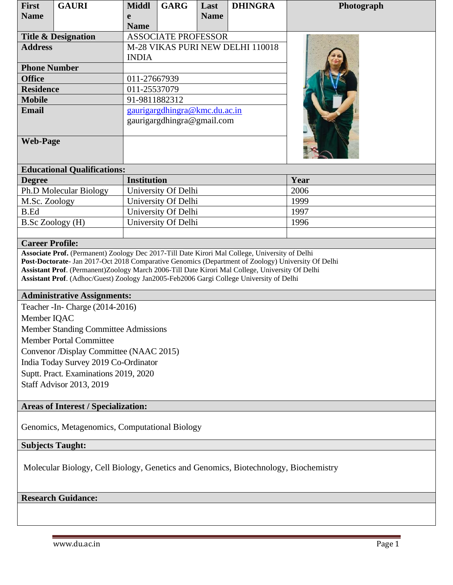| <b>First</b>                                                                                                                                                                               | <b>GAURI</b>                       | <b>Middl</b>                     | <b>GARG</b> | Last        | <b>DHINGRA</b> | Photograph |  |
|--------------------------------------------------------------------------------------------------------------------------------------------------------------------------------------------|------------------------------------|----------------------------------|-------------|-------------|----------------|------------|--|
| <b>Name</b>                                                                                                                                                                                |                                    | e                                |             | <b>Name</b> |                |            |  |
|                                                                                                                                                                                            |                                    | <b>Name</b>                      |             |             |                |            |  |
| <b>Title &amp; Designation</b>                                                                                                                                                             |                                    | <b>ASSOCIATE PROFESSOR</b>       |             |             |                |            |  |
| <b>Address</b>                                                                                                                                                                             |                                    | M-28 VIKAS PURI NEW DELHI 110018 |             |             |                |            |  |
|                                                                                                                                                                                            |                                    | <b>INDIA</b>                     |             |             |                |            |  |
| <b>Phone Number</b>                                                                                                                                                                        |                                    |                                  |             |             |                |            |  |
| <b>Office</b>                                                                                                                                                                              |                                    | 011-27667939                     |             |             |                |            |  |
| <b>Residence</b>                                                                                                                                                                           |                                    | 011-25537079                     |             |             |                |            |  |
| <b>Mobile</b>                                                                                                                                                                              |                                    | 91-9811882312                    |             |             |                |            |  |
| <b>Email</b>                                                                                                                                                                               |                                    | gaurigargdhingra@kmc.du.ac.in    |             |             |                |            |  |
|                                                                                                                                                                                            |                                    | gaurigargdhingra@gmail.com       |             |             |                |            |  |
|                                                                                                                                                                                            |                                    |                                  |             |             |                |            |  |
| <b>Web-Page</b>                                                                                                                                                                            |                                    |                                  |             |             |                |            |  |
|                                                                                                                                                                                            |                                    |                                  |             |             |                |            |  |
|                                                                                                                                                                                            | <b>Educational Qualifications:</b> |                                  |             |             |                |            |  |
| <b>Degree</b>                                                                                                                                                                              |                                    | <b>Institution</b>               |             |             |                | Year       |  |
| Ph.D Molecular Biology                                                                                                                                                                     |                                    | University Of Delhi              |             |             |                | 2006       |  |
| M.Sc. Zoology                                                                                                                                                                              |                                    | University Of Delhi              |             |             |                | 1999       |  |
| <b>B.Ed</b>                                                                                                                                                                                |                                    | University Of Delhi              |             |             |                | 1997       |  |
| B.Sc Zoology (H)                                                                                                                                                                           |                                    | University Of Delhi              |             |             |                | 1996       |  |
|                                                                                                                                                                                            |                                    |                                  |             |             |                |            |  |
| <b>Career Profile:</b>                                                                                                                                                                     |                                    |                                  |             |             |                |            |  |
| Associate Prof. (Permanent) Zoology Dec 2017-Till Date Kirori Mal College, University of Delhi                                                                                             |                                    |                                  |             |             |                |            |  |
| Post-Doctorate- Jan 2017-Oct 2018 Comparative Genomics (Department of Zoology) University Of Delhi                                                                                         |                                    |                                  |             |             |                |            |  |
| Assistant Prof. (Permanent)Zoology March 2006-Till Date Kirori Mal College, University Of Delhi<br>Assistant Prof. (Adhoc/Guest) Zoology Jan2005-Feb2006 Gargi College University of Delhi |                                    |                                  |             |             |                |            |  |
|                                                                                                                                                                                            |                                    |                                  |             |             |                |            |  |
| <b>Administrative Assignments:</b>                                                                                                                                                         |                                    |                                  |             |             |                |            |  |
| Teacher - In- Charge (2014-2016)                                                                                                                                                           |                                    |                                  |             |             |                |            |  |
| Member IQAC                                                                                                                                                                                |                                    |                                  |             |             |                |            |  |
| Member Standing Committee Admissions                                                                                                                                                       |                                    |                                  |             |             |                |            |  |
| <b>Member Portal Committee</b>                                                                                                                                                             |                                    |                                  |             |             |                |            |  |
| Convenor /Display Committee (NAAC 2015)                                                                                                                                                    |                                    |                                  |             |             |                |            |  |
| India Today Survey 2019 Co-Ordinator                                                                                                                                                       |                                    |                                  |             |             |                |            |  |
| Suptt. Pract. Examinations 2019, 2020                                                                                                                                                      |                                    |                                  |             |             |                |            |  |
| <b>Staff Advisor 2013, 2019</b>                                                                                                                                                            |                                    |                                  |             |             |                |            |  |
|                                                                                                                                                                                            |                                    |                                  |             |             |                |            |  |
| <b>Areas of Interest / Specialization:</b>                                                                                                                                                 |                                    |                                  |             |             |                |            |  |
|                                                                                                                                                                                            |                                    |                                  |             |             |                |            |  |
| Genomics, Metagenomics, Computational Biology                                                                                                                                              |                                    |                                  |             |             |                |            |  |
|                                                                                                                                                                                            |                                    |                                  |             |             |                |            |  |
| <b>Subjects Taught:</b>                                                                                                                                                                    |                                    |                                  |             |             |                |            |  |
|                                                                                                                                                                                            |                                    |                                  |             |             |                |            |  |
| Molecular Biology, Cell Biology, Genetics and Genomics, Biotechnology, Biochemistry                                                                                                        |                                    |                                  |             |             |                |            |  |
|                                                                                                                                                                                            |                                    |                                  |             |             |                |            |  |
|                                                                                                                                                                                            | <b>Research Guidance:</b>          |                                  |             |             |                |            |  |
|                                                                                                                                                                                            |                                    |                                  |             |             |                |            |  |
|                                                                                                                                                                                            |                                    |                                  |             |             |                |            |  |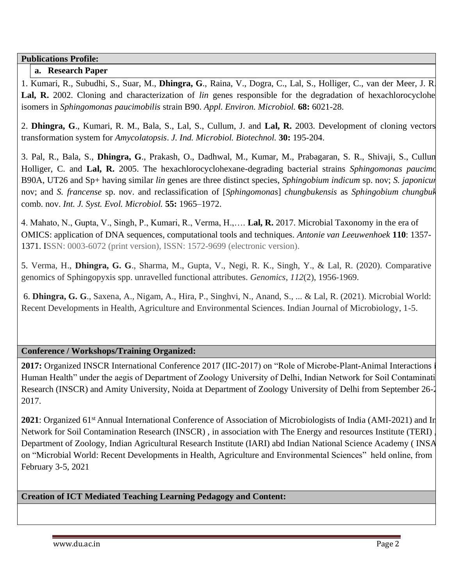**Publications Profile:**

## **a. Research Paper**

1. Kumari, R., Subudhi, S., Suar, M., **Dhingra, G**., Raina, V., Dogra, C., Lal, S., Holliger, C., van der Meer, J. R. Lal, R. 2002. Cloning and characterization of *lin* genes responsible for the degradation of hexachlorocyclohe isomers in *Sphingomonas paucimobilis* strain B90. *Appl. Environ. Microbiol.* **68:** 6021-28.

2. **Dhingra, G**., Kumari, R. M., Bala, S., Lal, S., Cullum, J. and **Lal, R.** 2003. Development of cloning vectors and transformation system for *Amycolatopsis*. *J. Ind. Microbiol. Biotechnol.* **30:** 195-204.

3. Pal, R., Bala, S., **Dhingra, G**., Prakash, O., Dadhwal, M., Kumar, M., Prabagaran, S. R., Shivaji, S., Cullun Holliger, C. and **Lal, R.** 2005. The hexachlorocyclohexane-degrading bacterial strains *Sphingomonas paucimobilis*  B90A, UT26 and Sp+ having similar *lin* genes are three distinct species, *Sphingobium indicum* sp. nov; *S. japonicum* sp. nov; and *S. francense* sp. nov. and reclassification of [*Sphingomonas*] *chungbukensis* as *Sphingobium chungbukense* comb. nov. *Int. J. Syst. Evol. Microbiol.* **55:** 1965–1972.

4. Mahato, N., Gupta, V., Singh, P., Kumari, R., Verma, H.,…. **Lal, R.** 2017. Microbial Taxonomy in the era of OMICS: application of DNA sequences, computational tools and techniques. *Antonie van Leeuwenhoek* **110**: 1357- 1371. ISSN: 0003-6072 (print version), ISSN: 1572-9699 (electronic version).

5. Verma, H., **Dhingra, G. G**., Sharma, M., Gupta, V., Negi, R. K., Singh, Y., & Lal, R. (2020). Comparative genomics of Sphingopyxis spp. unravelled functional attributes. *Genomics*, *112*(2), 1956-1969.

6. **Dhingra, G. G**., Saxena, A., Nigam, A., Hira, P., Singhvi, N., Anand, S., ... & Lal, R. (2021). Microbial World: Recent Developments in Health, Agriculture and Environmental Sciences. Indian Journal of Microbiology, 1-5.

## **Conference / Workshops/Training Organized:**

2017: Organized INSCR International Conference 2017 (IIC-2017) on "Role of Microbe-Plant-Animal Interactions i Human Health" under the aegis of Department of Zoology University of Delhi, Indian Network for Soil Contaminati Research (INSCR) and Amity University, Noida at Department of Zoology University of Delhi from September 26-2 2017.

**2021**: Organized 61<sup>st</sup> Annual International Conference of Association of Microbiologists of India (AMI-2021) and In Network for Soil Contamination Research (INSCR) , in association with The Energy and resources Institute (TERI) , Department of Zoology, Indian Agricultural Research Institute (IARI) abd Indian National Science Academy ( INSA) on "Microbial World: Recent Developments in Health, Agriculture and Environmental Sciences" held online, from February 3-5, 2021

# **Creation of ICT Mediated Teaching Learning Pedagogy and Content:**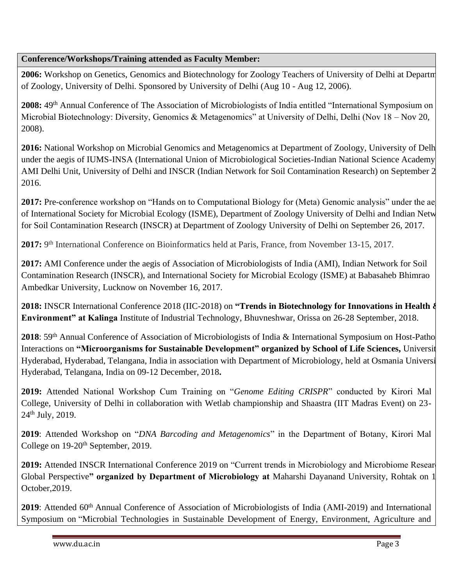## **Conference/Workshops/Training attended as Faculty Member:**

2006: Workshop on Genetics, Genomics and Biotechnology for Zoology Teachers of University of Delhi at Departm of Zoology, University of Delhi. Sponsored by University of Delhi (Aug 10 - Aug 12, 2006).

2008: 49<sup>th</sup> Annual Conference of The Association of Microbiologists of India entitled "International Symposium on Microbial Biotechnology: Diversity, Genomics & Metagenomics" at University of Delhi, Delhi (Nov 18 – Nov 20, 2008).

5. **2016:** National Workshop on Microbial Genomics and Metagenomics at Department of Zoology, University of Delhi under the aegis of IUMS-INSA (International Union of Microbiological Societies-Indian National Science Academy), AMI Delhi Unit, University of Delhi and INSCR (Indian Network for Soil Contamination Research) on September 2 2016.

2017: Pre-conference workshop on "Hands on to Computational Biology for (Meta) Genomic analysis" under the ae of International Society for Microbial Ecology (ISME), Department of Zoology University of Delhi and Indian Netw for Soil Contamination Research (INSCR) at Department of Zoology University of Delhi on September 26, 2017.

**2017:** 9<sup>th</sup> International Conference on Bioinformatics held at Paris, France, from November 13-15, 2017.

8. **2017:** AMI Conference under the aegis of Association of Microbiologists of India (AMI), Indian Network for Soil Contamination Research (INSCR), and International Society for Microbial Ecology (ISME) at Babasaheb Bhimrao Ambedkar University, Lucknow on November 16, 2017.

9. **2018:** INSCR International Conference 2018 (IIC-2018) on **"Trends in Biotechnology for Innovations in Health & Environment" at Kalinga** Institute of Industrial Technology, Bhuvneshwar, Orissa on 26-28 September, 2018.

2018: 59<sup>th</sup> Annual Conference of Association of Microbiologists of India & International Symposium on Host-Patho Interactions on **"Microorganisms for Sustainable Development" organized by School of Life Sciences,** University of Hyderabad, Hyderabad, Telangana, India in association with Department of Microbiology, held at Osmania Universi Hyderabad, Telangana, India on 09-12 December, 2018**.**

**2019:** Attended National Workshop Cum Training on "*Genome Editing CRISPR*" conducted by Kirori Mal College, University of Delhi in collaboration with Wetlab championship and Shaastra (IIT Madras Event) on 23- 24th July, 2019.

**2019**: Attended Workshop on "*DNA Barcoding and Metagenomics*" in the Department of Botany, Kirori Mal College on 19-20<sup>th</sup> September, 2019.

**2019:** Attended INSCR International Conference 2019 on "Current trends in Microbiology and Microbiome Resear Global Perspective" organized by Department of Microbiology at Maharshi Dayanand University, Rohtak on 1 October,2019.

2019: Attended 60<sup>th</sup> Annual Conference of Association of Microbiologists of India (AMI-2019) and International Symposium on "Microbial Technologies in Sustainable Development of Energy, Environment, Agriculture and